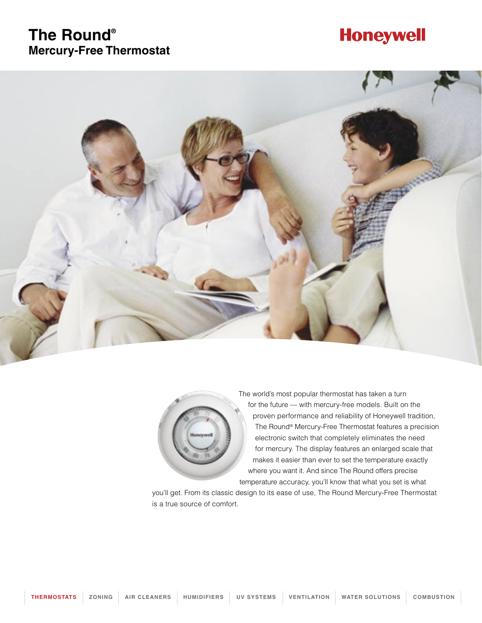### **The Round® Mercury-Free Thermostat**

## **Honeywell**





The world's most popular thermostat has taken a turn for the future — with mercury-free models. Built on the proven performance and reliability of Honeywell tradition, The Round® Mercury-Free Thermostat features a precision electronic switch that completely eliminates the need for mercury. The display features an enlarged scale that makes it easier than ever to set the temperature exactly where you want it. And since The Round offers precise temperature accuracy, you'll know that what you set is what

you'll get. From its classic design to its ease of use, The Round Mercury-Free Thermostat is a true source of comfort.